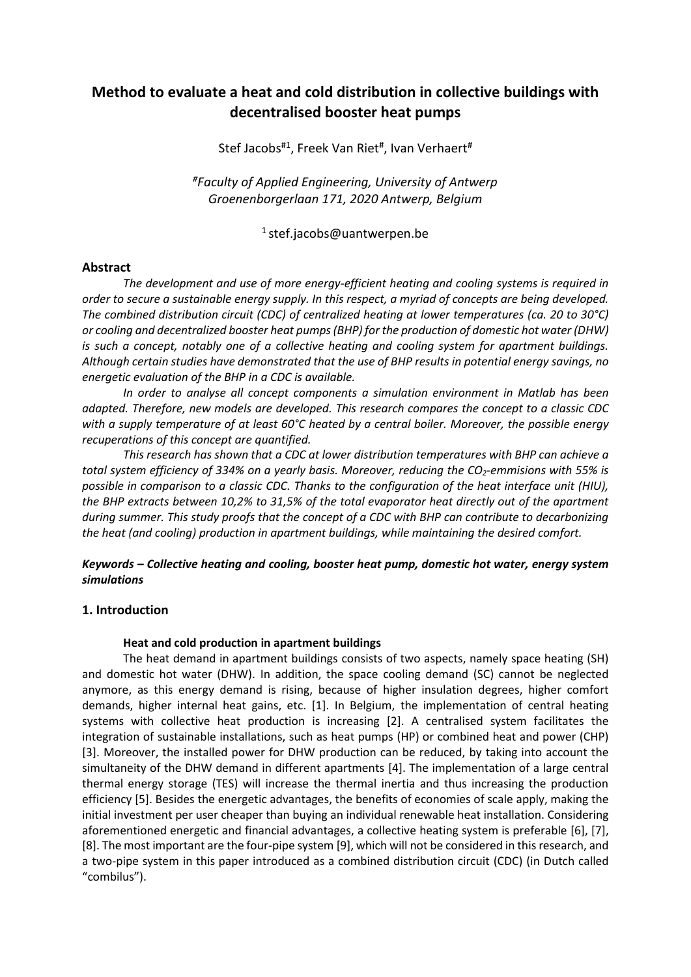# **Method to evaluate a heat and cold distribution in collective buildings with decentralised booster heat pumps**

Stef Jacobs<sup>#1</sup>, Freek Van Riet<sup>#</sup>, Ivan Verhaert<sup>#</sup>

*#Faculty of Applied Engineering, University of Antwerp Groenenborgerlaan 171, 2020 Antwerp, Belgium*

<sup>1</sup> stef.jacobs@uantwerpen.be

### **Abstract**

*The development and use of more energy-efficient heating and cooling systems is required in order to secure a sustainable energy supply. In this respect, a myriad of concepts are being developed. The combined distribution circuit (CDC) of centralized heating at lower temperatures (ca. 20 to 30°C) or cooling and decentralized booster heat pumps (BHP) for the production of domestic hot water (DHW) is such a concept, notably one of a collective heating and cooling system for apartment buildings. Although certain studies have demonstrated that the use of BHP results in potential energy savings, no energetic evaluation of the BHP in a CDC is available.* 

*In order to analyse all concept components a simulation environment in Matlab has been adapted. Therefore, new models are developed. This research compares the concept to a classic CDC with a supply temperature of at least 60°C heated by a central boiler. Moreover, the possible energy recuperations of this concept are quantified.*

*This research has shown that a CDC at lower distribution temperatures with BHP can achieve a total system efficiency of 334% on a yearly basis. Moreover, reducing the CO2-emmisions with 55% is possible in comparison to a classic CDC. Thanks to the configuration of the heat interface unit (HIU), the BHP extracts between 10,2% to 31,5% of the total evaporator heat directly out of the apartment during summer. This study proofs that the concept of a CDC with BHP can contribute to decarbonizing the heat (and cooling) production in apartment buildings, while maintaining the desired comfort.*

# *Keywords – Collective heating and cooling, booster heat pump, domestic hot water, energy system simulations*

### **1. Introduction**

#### **Heat and cold production in apartment buildings**

The heat demand in apartment buildings consists of two aspects, namely space heating (SH) and domestic hot water (DHW). In addition, the space cooling demand (SC) cannot be neglected anymore, as this energy demand is rising, because of higher insulation degrees, higher comfort demands, higher internal heat gains, etc. [1]. In Belgium, the implementation of central heating systems with collective heat production is increasing [2]. A centralised system facilitates the integration of sustainable installations, such as heat pumps (HP) or combined heat and power (CHP) [3]. Moreover, the installed power for DHW production can be reduced, by taking into account the simultaneity of the DHW demand in different apartments [4]. The implementation of a large central thermal energy storage (TES) will increase the thermal inertia and thus increasing the production efficiency [5]. Besides the energetic advantages, the benefits of economies of scale apply, making the initial investment per user cheaper than buying an individual renewable heat installation. Considering aforementioned energetic and financial advantages, a collective heating system is preferable [6], [7], [8]. The most important are the four-pipe system [9], which will not be considered in this research, and a two-pipe system in this paper introduced as a combined distribution circuit (CDC) (in Dutch called "combilus").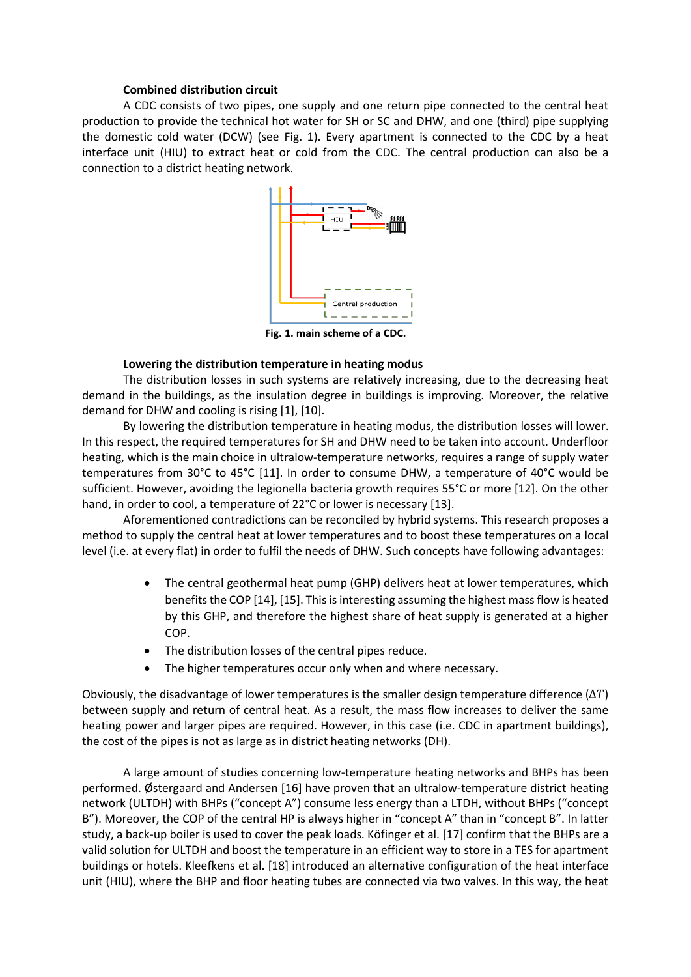### **Combined distribution circuit**

A CDC consists of two pipes, one supply and one return pipe connected to the central heat production to provide the technical hot water for SH or SC and DHW, and one (third) pipe supplying the domestic cold water (DCW) (see [Fig. 1\)](#page-1-0). Every apartment is connected to the CDC by a heat interface unit (HIU) to extract heat or cold from the CDC. The central production can also be a connection to a district heating network.



<span id="page-1-0"></span>**Fig. 1. main scheme of a CDC.**

### **Lowering the distribution temperature in heating modus**

The distribution losses in such systems are relatively increasing, due to the decreasing heat demand in the buildings, as the insulation degree in buildings is improving. Moreover, the relative demand for DHW and cooling is rising [1], [10].

By lowering the distribution temperature in heating modus, the distribution losses will lower. In this respect, the required temperatures for SH and DHW need to be taken into account. Underfloor heating, which is the main choice in ultralow-temperature networks, requires a range of supply water temperatures from 30°C to 45°C [11]. In order to consume DHW, a temperature of 40°C would be sufficient. However, avoiding the legionella bacteria growth requires 55°C or more [12]. On the other hand, in order to cool, a temperature of 22°C or lower is necessary [13].

Aforementioned contradictions can be reconciled by hybrid systems. This research proposes a method to supply the central heat at lower temperatures and to boost these temperatures on a local level (i.e. at every flat) in order to fulfil the needs of DHW. Such concepts have following advantages:

- The central geothermal heat pump (GHP) delivers heat at lower temperatures, which benefits the COP [14], [15]. This is interesting assuming the highest mass flow is heated by this GHP, and therefore the highest share of heat supply is generated at a higher COP.
- The distribution losses of the central pipes reduce.
- The higher temperatures occur only when and where necessary.

Obviously, the disadvantage of lower temperatures is the smaller design temperature difference ( $\Delta T$ ) between supply and return of central heat. As a result, the mass flow increases to deliver the same heating power and larger pipes are required. However, in this case (i.e. CDC in apartment buildings), the cost of the pipes is not as large as in district heating networks (DH).

A large amount of studies concerning low-temperature heating networks and BHPs has been performed. Østergaard and Andersen [16] have proven that an ultralow-temperature district heating network (ULTDH) with BHPs ("concept A") consume less energy than a LTDH, without BHPs ("concept B"). Moreover, the COP of the central HP is always higher in "concept A" than in "concept B". In latter study, a back-up boiler is used to cover the peak loads. Köfinger et al. [17] confirm that the BHPs are a valid solution for ULTDH and boost the temperature in an efficient way to store in a TES for apartment buildings or hotels. Kleefkens et al. [18] introduced an alternative configuration of the heat interface unit (HIU), where the BHP and floor heating tubes are connected via two valves. In this way, the heat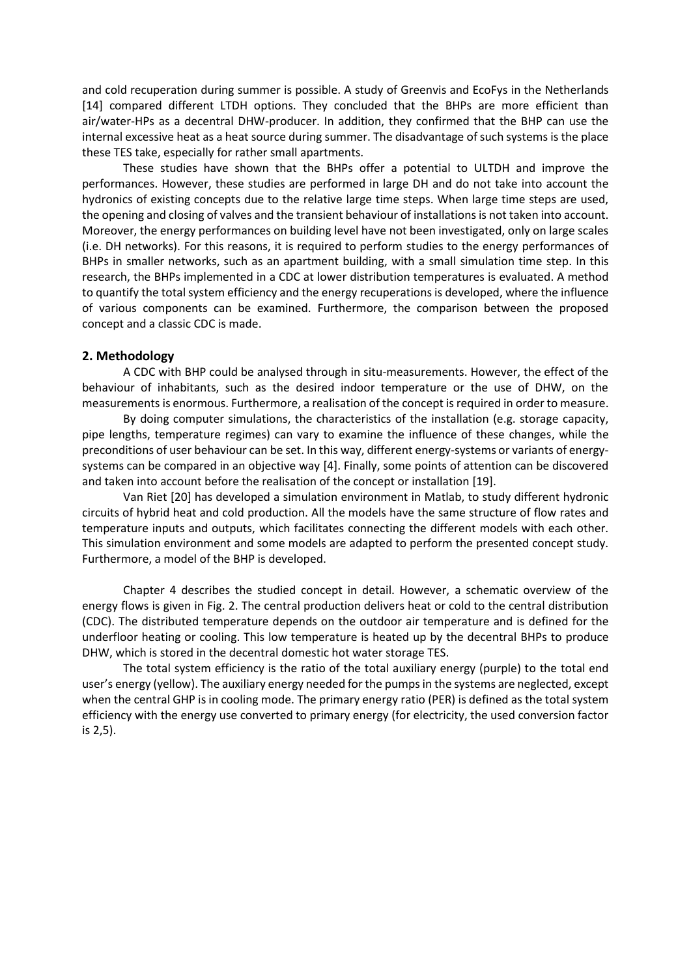and cold recuperation during summer is possible. A study of Greenvis and EcoFys in the Netherlands [14] compared different LTDH options. They concluded that the BHPs are more efficient than air/water-HPs as a decentral DHW-producer. In addition, they confirmed that the BHP can use the internal excessive heat as a heat source during summer. The disadvantage of such systems is the place these TES take, especially for rather small apartments.

These studies have shown that the BHPs offer a potential to ULTDH and improve the performances. However, these studies are performed in large DH and do not take into account the hydronics of existing concepts due to the relative large time steps. When large time steps are used, the opening and closing of valves and the transient behaviour of installations is not taken into account. Moreover, the energy performances on building level have not been investigated, only on large scales (i.e. DH networks). For this reasons, it is required to perform studies to the energy performances of BHPs in smaller networks, such as an apartment building, with a small simulation time step. In this research, the BHPs implemented in a CDC at lower distribution temperatures is evaluated. A method to quantify the total system efficiency and the energy recuperations is developed, where the influence of various components can be examined. Furthermore, the comparison between the proposed concept and a classic CDC is made.

### **2. Methodology**

A CDC with BHP could be analysed through in situ-measurements. However, the effect of the behaviour of inhabitants, such as the desired indoor temperature or the use of DHW, on the measurements is enormous. Furthermore, a realisation of the concept is required in order to measure.

By doing computer simulations, the characteristics of the installation (e.g. storage capacity, pipe lengths, temperature regimes) can vary to examine the influence of these changes, while the preconditions of user behaviour can be set. In this way, different energy-systems or variants of energysystems can be compared in an objective way [4]. Finally, some points of attention can be discovered and taken into account before the realisation of the concept or installation [19].

Van Riet [20] has developed a simulation environment in Matlab, to study different hydronic circuits of hybrid heat and cold production. All the models have the same structure of flow rates and temperature inputs and outputs, which facilitates connecting the different models with each other. This simulation environment and some models are adapted to perform the presented concept study. Furthermore, a model of the BHP is developed.

Chapter 4 describes the studied concept in detail. However, a schematic overview of the energy flows is given in [Fig. 2.](#page-3-0) The central production delivers heat or cold to the central distribution (CDC). The distributed temperature depends on the outdoor air temperature and is defined for the underfloor heating or cooling. This low temperature is heated up by the decentral BHPs to produce DHW, which is stored in the decentral domestic hot water storage TES.

The total system efficiency is the ratio of the total auxiliary energy (purple) to the total end user's energy (yellow). The auxiliary energy needed for the pumps in the systems are neglected, except when the central GHP is in cooling mode. The primary energy ratio (PER) is defined as the total system efficiency with the energy use converted to primary energy (for electricity, the used conversion factor is 2,5).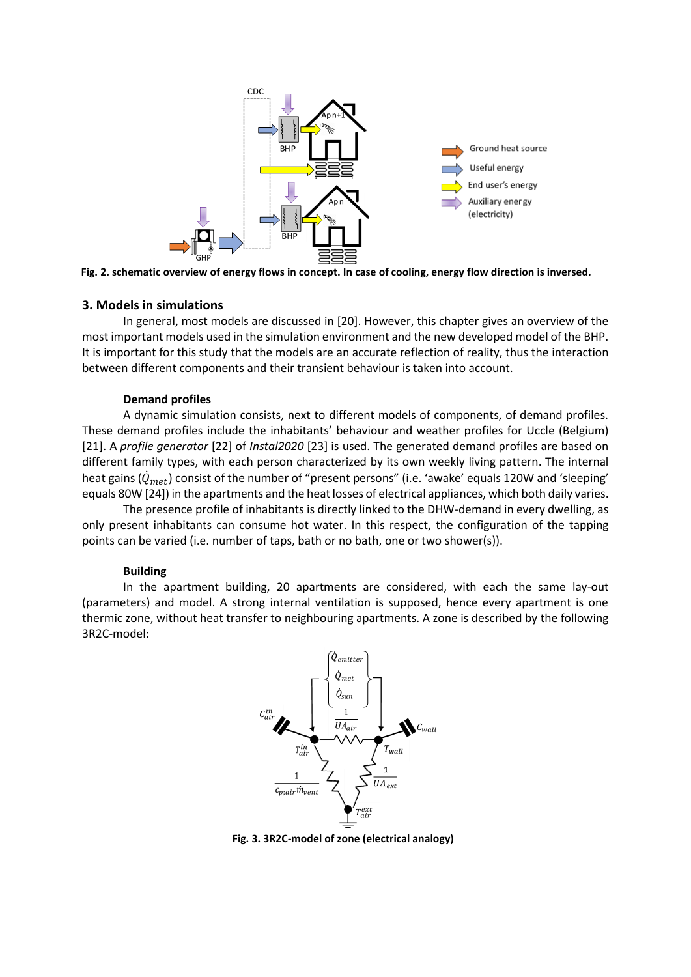

<span id="page-3-0"></span>**Fig. 2. schematic overview of energy flows in concept. In case of cooling, energy flow direction is inversed.**

#### **3. Models in simulations**

In general, most models are discussed in [20]. However, this chapter gives an overview of the most important models used in the simulation environment and the new developed model of the BHP. It is important for this study that the models are an accurate reflection of reality, thus the interaction between different components and their transient behaviour is taken into account.

#### **Demand profiles**

A dynamic simulation consists, next to different models of components, of demand profiles. These demand profiles include the inhabitants' behaviour and weather profiles for Uccle (Belgium) [21]. A *profile generator* [22] of *Instal2020* [23] is used. The generated demand profiles are based on different family types, with each person characterized by its own weekly living pattern. The internal heat gains  $(\dot{Q}_{met})$  consist of the number of "present persons" (i.e. 'awake' equals 120W and 'sleeping' equals 80W [24]) in the apartments and the heat losses of electrical appliances, which both daily varies.

The presence profile of inhabitants is directly linked to the DHW-demand in every dwelling, as only present inhabitants can consume hot water. In this respect, the configuration of the tapping points can be varied (i.e. number of taps, bath or no bath, one or two shower(s)).

#### **Building**

In the apartment building, 20 apartments are considered, with each the same lay-out (parameters) and model. A strong internal ventilation is supposed, hence every apartment is one thermic zone, without heat transfer to neighbouring apartments. A zone is described by the following 3R2C-model:



<span id="page-3-1"></span>**Fig. 3. 3R2C-model of zone (electrical analogy)**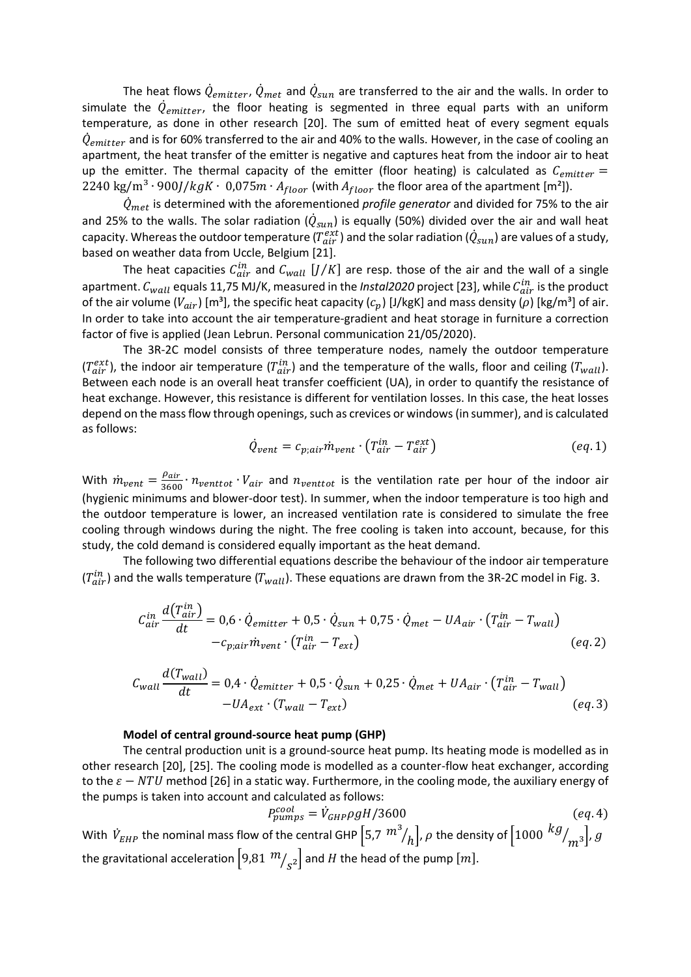The heat flows  $\dot{Q}_{emitter}$ ,  $\dot{Q}_{met}$  and  $\dot{Q}_{sun}$  are transferred to the air and the walls. In order to simulate the  $\dot{Q}_{emitter}$ , the floor heating is segmented in three equal parts with an uniform temperature, as done in other research [20]. The sum of emitted heat of every segment equals  $\dot{Q}_{emitter}$  and is for 60% transferred to the air and 40% to the walls. However, in the case of cooling an apartment, the heat transfer of the emitter is negative and captures heat from the indoor air to heat up the emitter. The thermal capacity of the emitter (floor heating) is calculated as  $C_{emitter}$  = 2240 kg/m<sup>3</sup> ⋅ 900*J*/ $kgK$  ⋅ 0,075 $m \cdot A_{floor}$  (with  $A_{floor}$  the floor area of the apartment [m<sup>2</sup>]).

 $\ddot{Q}_{met}$  is determined with the aforementioned *profile generator* and divided for 75% to the air and 25% to the walls. The solar radiation ( $\dot{Q}_{sun}$ ) is equally (50%) divided over the air and wall heat capacity. Whereas the outdoor temperature ( $T^{ext}_{air}$ ) and the solar radiation ( $\dot{Q}_{sun}$ ) are values of a study, based on weather data from Uccle, Belgium [21].

The heat capacities  $\mathcal{C}_{air}^{in}$  and  $\mathcal{C}_{wall}$  [J/K] are resp. those of the air and the wall of a single apartment.  $\mathcal{C}_{wall}$  equals 11,75 MJ/K, measured in the *Instal2020* project [23], while  $\mathcal{C}_{air}^{in}$  is the product of the air volume ( $V_{air}$ ) [m<sup>3</sup>], the specific heat capacity ( $c_n$ ) [J/kgK] and mass density ( $\rho$ ) [kg/m<sup>3</sup>] of air. In order to take into account the air temperature-gradient and heat storage in furniture a correction factor of five is applied (Jean Lebrun. Personal communication 21/05/2020).

The 3R-2C model consists of three temperature nodes, namely the outdoor temperature  $(T_{air}^{ext})$ , the indoor air temperature  $(T_{air}^{in})$  and the temperature of the walls, floor and ceiling  $(T_{wall})$ . Between each node is an overall heat transfer coefficient (UA), in order to quantify the resistance of heat exchange. However, this resistance is different for ventilation losses. In this case, the heat losses depend on the mass flow through openings, such as crevices or windows (in summer), and is calculated as follows:

$$
\dot{Q}_{vent} = c_{p,air}\dot{m}_{vent} \cdot (T_{air}^{in} - T_{air}^{ext})
$$
\n
$$
(eq.1)
$$

With  $\dot{m}_{vent} = \frac{\rho_{air}}{3600}$  $\frac{Pair}{3600}$   $\cdot n_{venttot}$   $\cdot V_{air}$  and  $n_{venttot}$  is the ventilation rate per hour of the indoor air (hygienic minimums and blower-door test). In summer, when the indoor temperature is too high and the outdoor temperature is lower, an increased ventilation rate is considered to simulate the free cooling through windows during the night. The free cooling is taken into account, because, for this study, the cold demand is considered equally important as the heat demand.

The following two differential equations describe the behaviour of the indoor air temperature  $(T^{in}_{air})$  and the walls temperature ( $T_{wall}$ ). These equations are drawn from the 3R-2C model i[n Fig. 3.](#page-3-1)

$$
C_{air}^{in} \frac{d(T_{air}^{in})}{dt} = 0.6 \cdot \dot{Q}_{emitter} + 0.5 \cdot \dot{Q}_{sun} + 0.75 \cdot \dot{Q}_{met} - UA_{air} \cdot (T_{air}^{in} - T_{wall})
$$
  
-
$$
-c_{p,air} \dot{m}_{vent} \cdot (T_{air}^{in} - T_{ext})
$$
 (eq. 2)

$$
C_{wall} \frac{d(T_{wall})}{dt} = 0.4 \cdot \dot{Q}_{emitter} + 0.5 \cdot \dot{Q}_{sun} + 0.25 \cdot \dot{Q}_{met} + UA_{air} \cdot (T_{air}^{in} - T_{wall}) - UA_{ext} \cdot (T_{wall} - T_{ext})
$$
\n
$$
(eq.3)
$$

#### **Model of central ground-source heat pump (GHP)**

The central production unit is a ground-source heat pump. Its heating mode is modelled as in other research [20], [25]. The cooling mode is modelled as a counter-flow heat exchanger, according to the  $\varepsilon - NTU$  method [26] in a static way. Furthermore, in the cooling mode, the auxiliary energy of the pumps is taken into account and calculated as follows:

$$
P_{pumps}^{cool} = \dot{V}_{GHP} \rho g H / 3600 \tag{eq.4}
$$

With  $\dot{V}_{EHP}$  the nominal mass flow of the central GHP  $\left[5,7\,\frac{m^3}{h}\right]$ ,  $\rho$  the density of  $\left[1000\,\frac{k g}{m^3}\right]$ ,  $g$ the gravitational acceleration  $\left[ 9{,}81\ {}^{70}\!/_{\!S}^2 \right]$  and  $H$  the head of the pump  $[m].$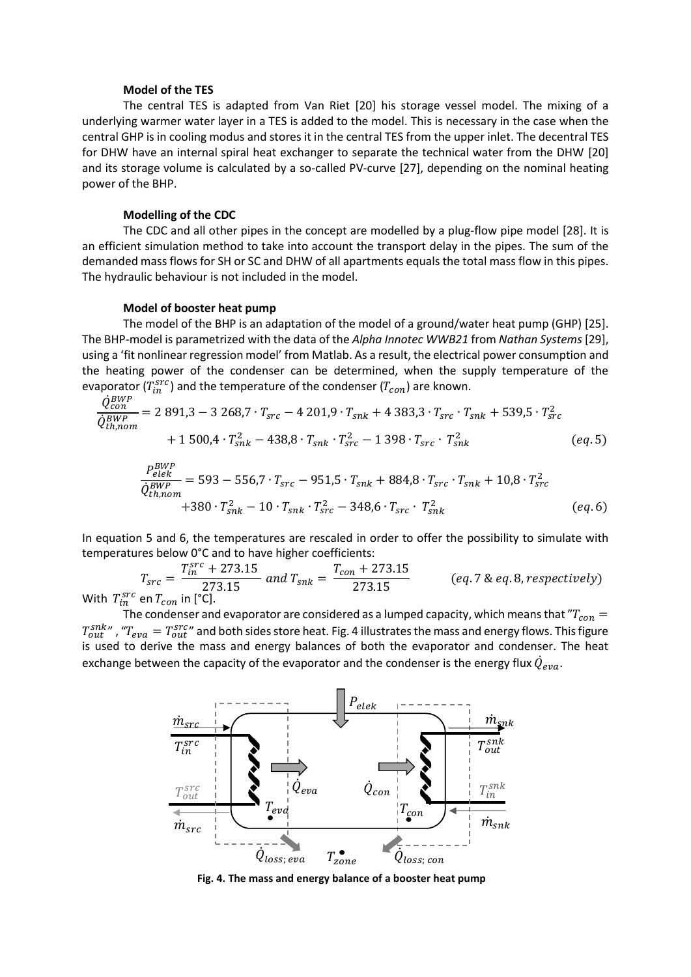#### **Model of the TES**

The central TES is adapted from Van Riet [20] his storage vessel model. The mixing of a underlying warmer water layer in a TES is added to the model. This is necessary in the case when the central GHP is in cooling modus and stores it in the central TES from the upper inlet. The decentral TES for DHW have an internal spiral heat exchanger to separate the technical water from the DHW [20] and its storage volume is calculated by a so-called PV-curve [27], depending on the nominal heating power of the BHP.

#### **Modelling of the CDC**

The CDC and all other pipes in the concept are modelled by a plug-flow pipe model [28]. It is an efficient simulation method to take into account the transport delay in the pipes. The sum of the demanded mass flows for SH or SC and DHW of all apartments equals the total mass flow in this pipes. The hydraulic behaviour is not included in the model.

#### **Model of booster heat pump**

The model of the BHP is an adaptation of the model of a ground/water heat pump (GHP) [25]. The BHP-model is parametrized with the data of the *Alpha Innotec WWB21* from *Nathan Systems* [29], using a 'fit nonlinear regression model' from Matlab. As a result, the electrical power consumption and the heating power of the condenser can be determined, when the supply temperature of the evaporator ( $T_{in}^{src}$ ) and the temperature of the condenser ( $T_{con}$ ) are known.

$$
\frac{\dot{Q}_{con}^{BWP}}{\dot{Q}_{th,nom}^{BWP}} = 2\ 891,3 - 3\ 268,7 \cdot T_{src} - 4\ 201,9 \cdot T_{snk} + 4\ 383,3 \cdot T_{src} \cdot T_{snk} + 539,5 \cdot T_{src}^2
$$
\n
$$
+ 1\ 500,4 \cdot T_{snk}^2 - 438,8 \cdot T_{snk} \cdot T_{src}^2 - 1\ 398 \cdot T_{src} \cdot T_{snk}^2 \qquad (eq.5)
$$

$$
\frac{P_{elek}^{BWP}}{\dot{Q}_{th,nom}^{BWP}} = 593 - 556.7 \cdot T_{src} - 951.5 \cdot T_{snk} + 884.8 \cdot T_{src} \cdot T_{snk} + 10.8 \cdot T_{src}^2
$$
\n
$$
+380 \cdot T_{snk}^2 - 10 \cdot T_{snk} \cdot T_{src}^2 - 348.6 \cdot T_{src} \cdot T_{snk}^2
$$
\n
$$
(eq.6)
$$

In equation 5 and 6, the temperatures are rescaled in order to offer the possibility to simulate with temperatures below 0°C and to have higher coefficients:

$$
T_{src} = \frac{T_{in}^{src} + 273.15}{273.15} \text{ and } T_{snk} = \frac{T_{con} + 273.15}{273.15} \qquad (eq.7 \& eq.8, respectively)
$$
  
With  $T_{in}^{src}$  en  $T_{con}$  in [°C].

The condenser and evaporator are considered as a lumped capacity, which means that  ${}^{''}T_{con}$  $T_{out}^{snk}$  , " $T_{eva}=T_{out}^{src}$  and both sides store heat. Fig. 4 illustrates the mass and energy flows. This figure is used to derive the mass and energy balances of both the evaporator and condenser. The heat exchange between the capacity of the evaporator and the condenser is the energy flux  $\dot{Q}_{eva}$ .



**Fig. 4. The mass and energy balance of a booster heat pump**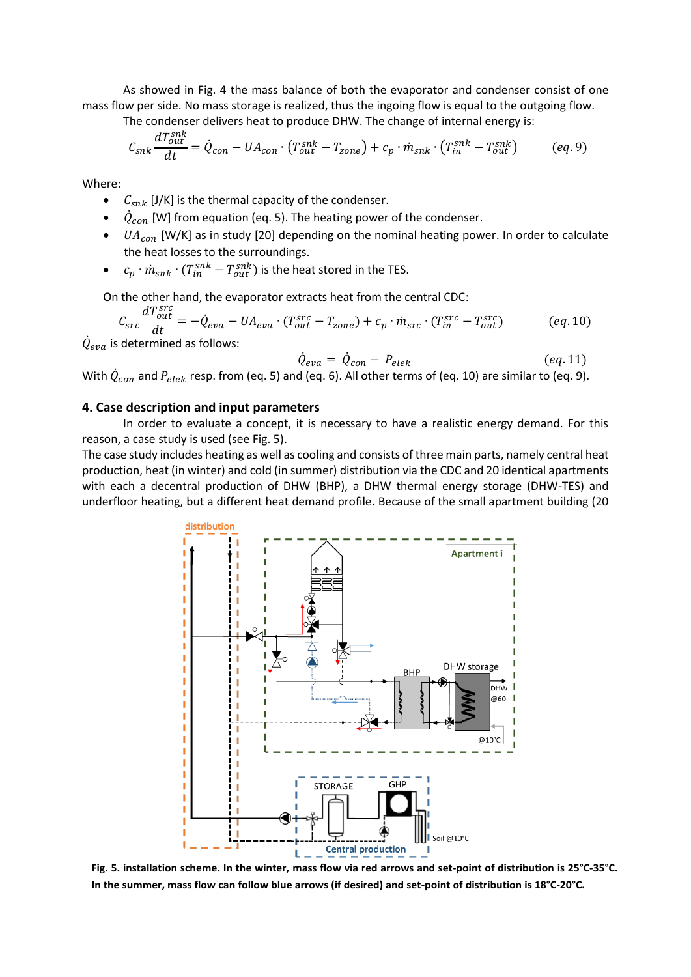As showed in Fig. 4 the mass balance of both the evaporator and condenser consist of one mass flow per side. No mass storage is realized, thus the ingoing flow is equal to the outgoing flow.

The condenser delivers heat to produce DHW. The change of internal energy is:

$$
C_{snk} \frac{dT_{out}^{snk}}{dt} = \dot{Q}_{con} - UA_{con} \cdot (T_{out}^{snk} - T_{zone}) + c_p \cdot \dot{m}_{snk} \cdot (T_{in}^{snk} - T_{out}^{snk})
$$
 (eq.9)

Where:

- $C_{snk}$  [J/K] is the thermal capacity of the condenser.
- $\dot{\varphi}_{con}$  [W] from equation (eq. 5). The heating power of the condenser.
- $UA_{con}$  [W/K] as in study [20] depending on the nominal heating power. In order to calculate the heat losses to the surroundings.
- $c_p \cdot m_{snk} \cdot (T_{in}^{snk} T_{out}^{snk})$  is the heat stored in the TES.

On the other hand, the evaporator extracts heat from the central CDC:

$$
C_{src} \frac{dT_{out}^{src}}{dt} = -\dot{Q}_{eva} - UA_{eva} \cdot (T_{out}^{src} - T_{zone}) + c_p \cdot \dot{m}_{src} \cdot (T_{in}^{src} - T_{out}^{src})
$$
 (eq.10)

 $\dot{Q}_{eva}$  is determined as follows:

$$
\dot{Q}_{eva} = \dot{Q}_{con} - P_{elek} \tag{eq.11}
$$

With  $\dot{Q}_{con}$  and  $P_{elek}$  resp. from (eq. 5) and (eq. 6). All other terms of (eq. 10) are similar to (eq. 9).

#### **4. Case description and input parameters**

In order to evaluate a concept, it is necessary to have a realistic energy demand. For this reason, a case study is used (see Fig. 5).

The case study includes heating as well as cooling and consists of three main parts, namely central heat production, heat (in winter) and cold (in summer) distribution via the CDC and 20 identical apartments with each a decentral production of DHW (BHP), a DHW thermal energy storage (DHW-TES) and underfloor heating, but a different heat demand profile. Because of the small apartment building (20



**Fig. 5. installation scheme. In the winter, mass flow via red arrows and set-point of distribution is 25°C-35°C. In the summer, mass flow can follow blue arrows (if desired) and set-point of distribution is 18°C-20°C.**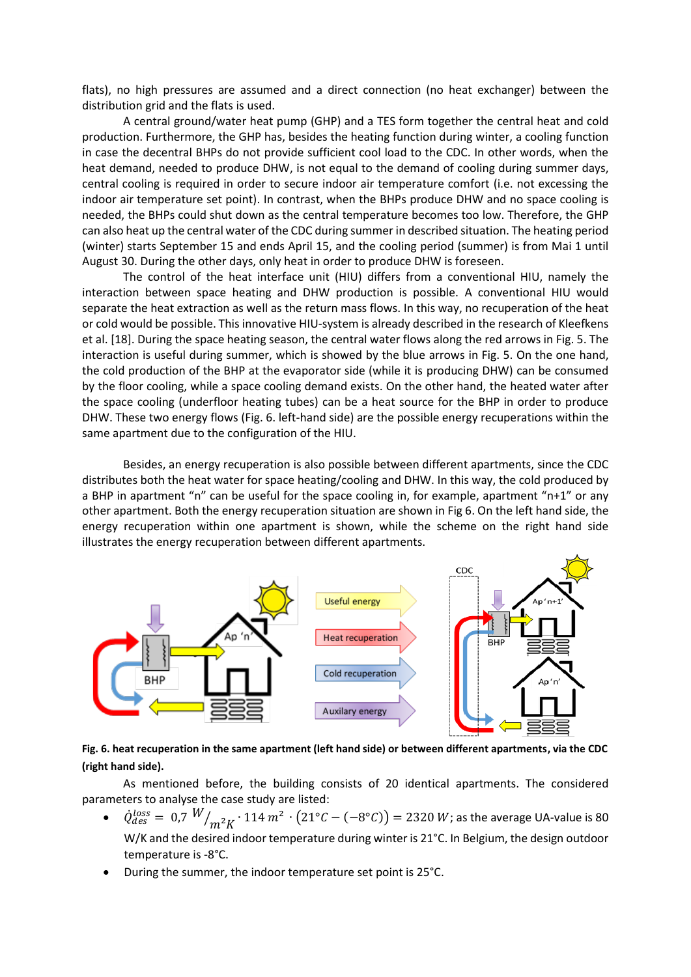flats), no high pressures are assumed and a direct connection (no heat exchanger) between the distribution grid and the flats is used.

A central ground/water heat pump (GHP) and a TES form together the central heat and cold production. Furthermore, the GHP has, besides the heating function during winter, a cooling function in case the decentral BHPs do not provide sufficient cool load to the CDC. In other words, when the heat demand, needed to produce DHW, is not equal to the demand of cooling during summer days, central cooling is required in order to secure indoor air temperature comfort (i.e. not excessing the indoor air temperature set point). In contrast, when the BHPs produce DHW and no space cooling is needed, the BHPs could shut down as the central temperature becomes too low. Therefore, the GHP can also heat up the central water of the CDC during summer in described situation. The heating period (winter) starts September 15 and ends April 15, and the cooling period (summer) is from Mai 1 until August 30. During the other days, only heat in order to produce DHW is foreseen.

The control of the heat interface unit (HIU) differs from a conventional HIU, namely the interaction between space heating and DHW production is possible. A conventional HIU would separate the heat extraction as well as the return mass flows. In this way, no recuperation of the heat or cold would be possible. This innovative HIU-system is already described in the research of Kleefkens et al. [18]. During the space heating season, the central water flows along the red arrows in Fig. 5. The interaction is useful during summer, which is showed by the blue arrows in Fig. 5. On the one hand, the cold production of the BHP at the evaporator side (while it is producing DHW) can be consumed by the floor cooling, while a space cooling demand exists. On the other hand, the heated water after the space cooling (underfloor heating tubes) can be a heat source for the BHP in order to produce DHW. These two energy flows (Fig. 6. left-hand side) are the possible energy recuperations within the same apartment due to the configuration of the HIU.

Besides, an energy recuperation is also possible between different apartments, since the CDC distributes both the heat water for space heating/cooling and DHW. In this way, the cold produced by a BHP in apartment "n" can be useful for the space cooling in, for example, apartment "n+1" or any other apartment. Both the energy recuperation situation are shown in Fig 6. On the left hand side, the energy recuperation within one apartment is shown, while the scheme on the right hand side illustrates the energy recuperation between different apartments.



**Fig. 6. heat recuperation in the same apartment (left hand side) or between different apartments, via the CDC (right hand side).**

As mentioned before, the building consists of 20 identical apartments. The considered parameters to analyse the case study are listed:

- $\dot{Q}^{loss}_{des} = 0.7 \frac{W}{m^2 K} \cdot 114 \frac{m^2}{2} \cdot (21^{\circ}C (-8^{\circ}C)) = 2320 \text{ W}$ ; as the average UA-value is 80 W/K and the desired indoor temperature during winter is 21°C. In Belgium, the design outdoor temperature is -8°C.
- During the summer, the indoor temperature set point is 25°C.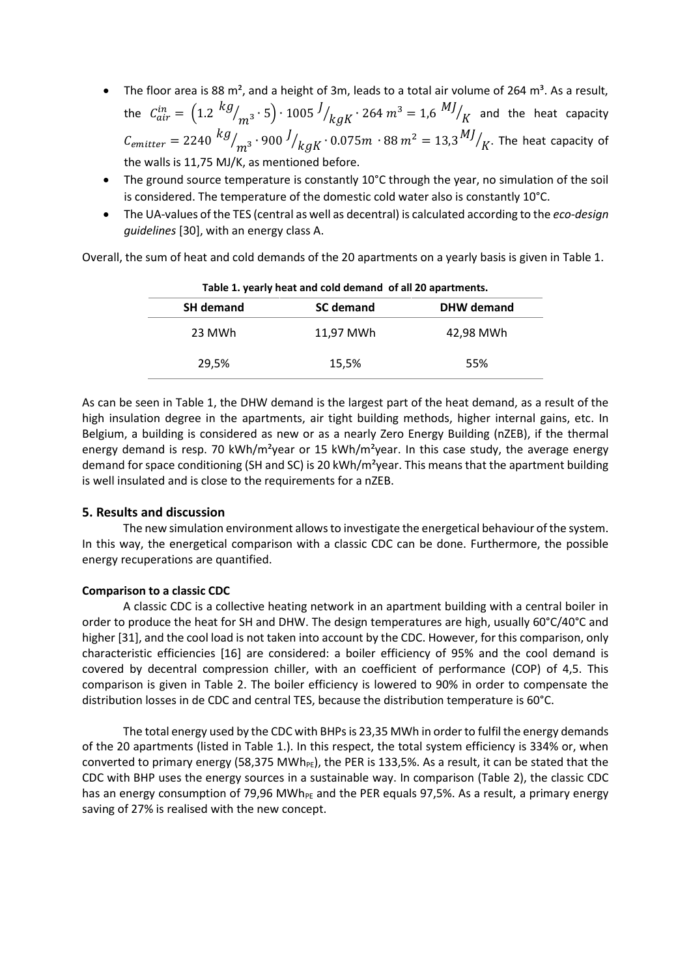- The floor area is 88 m<sup>2</sup>, and a height of 3m, leads to a total air volume of 264 m<sup>3</sup>. As a result, the  $C^{in}_{air} = \left(1.2 \right.^{kg}$  $\left/ \right/ _{m^{3}}$  ⋅ 5 $\right)$  ⋅ 1005  $^{J}$ /<sub>kgK</sub> ⋅ 264 m<sup>3</sup> = 1,6  $^{MJ}$  $\frac{1}{K}$  and the heat capacity  $\mathcal{C}_{emitter} = 2240 \ \frac{kg}{m^3} \cdot 900 \ \frac{J}{kgK} \cdot 0.075 m \ \ \cdot 88 \ m^2 = 13{,}3 \ \frac{MJ}{m^2}$  $\mathcal{N}_K$ . The heat capacity of the walls is 11,75 MJ/K, as mentioned before.
- The ground source temperature is constantly 10°C through the year, no simulation of the soil is considered. The temperature of the domestic cold water also is constantly 10°C.
- The UA-values of the TES (central as well as decentral) is calculated according to the *eco-design guidelines* [30], with an energy class A.

<span id="page-8-0"></span>Overall, the sum of heat and cold demands of the 20 apartments on a yearly basis is given in [Table 1.](#page-8-0)

| Table 1. yearly heat and cold demand of all 20 apartments. |                  |                   |  |  |
|------------------------------------------------------------|------------------|-------------------|--|--|
| <b>SH demand</b>                                           | <b>SC</b> demand | <b>DHW</b> demand |  |  |
| 23 MWh                                                     | 11.97 MWh        | 42.98 MWh         |  |  |
| 29,5%                                                      | 15,5%            | 55%               |  |  |

| Table 1. yearly heat and cold demand of all 20 apartments. |  |
|------------------------------------------------------------|--|
|------------------------------------------------------------|--|

As can be seen in [Table 1,](#page-8-0) the DHW demand is the largest part of the heat demand, as a result of the high insulation degree in the apartments, air tight building methods, higher internal gains, etc. In Belgium, a building is considered as new or as a nearly Zero Energy Building (nZEB), if the thermal energy demand is resp. 70 kWh/m<sup>2</sup>year or 15 kWh/m<sup>2</sup>year. In this case study, the average energy demand for space conditioning (SH and SC) is 20 kWh/m<sup>2</sup>year. This means that the apartment building is well insulated and is close to the requirements for a nZEB.

### **5. Results and discussion**

The new simulation environment allows to investigate the energetical behaviour of the system. In this way, the energetical comparison with a classic CDC can be done. Furthermore, the possible energy recuperations are quantified.

### **Comparison to a classic CDC**

A classic CDC is a collective heating network in an apartment building with a central boiler in order to produce the heat for SH and DHW. The design temperatures are high, usually 60°C/40°C and higher [31], and the cool load is not taken into account by the CDC. However, for this comparison, only characteristic efficiencies [16] are considered: a boiler efficiency of 95% and the cool demand is covered by decentral compression chiller, with an coefficient of performance (COP) of 4,5. This comparison is given in Table 2. The boiler efficiency is lowered to 90% in order to compensate the distribution losses in de CDC and central TES, because the distribution temperature is 60°C.

The total energy used by the CDC with BHPs is 23,35 MWh in order to fulfil the energy demands of the 20 apartments (listed in Table 1.). In this respect, the total system efficiency is 334% or, when converted to primary energy (58,375 MWh $_{PE}$ ), the PER is 133,5%. As a result, it can be stated that the CDC with BHP uses the energy sources in a sustainable way. In comparison (Table 2), the classic CDC has an energy consumption of 79,96 MWh<sub>PF</sub> and the PER equals 97,5%. As a result, a primary energy saving of 27% is realised with the new concept.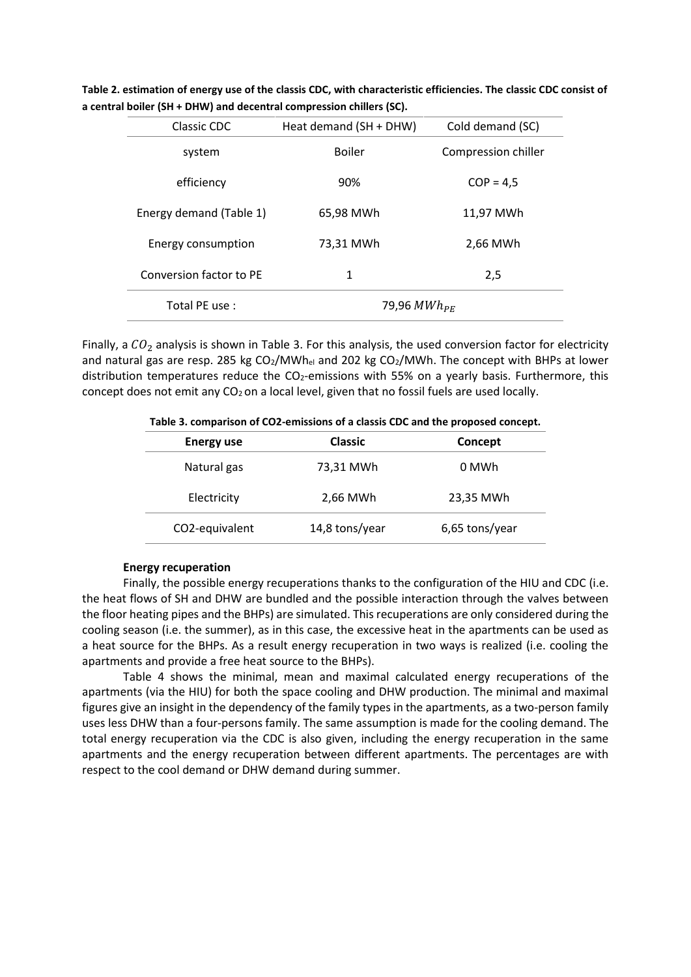| Classic CDC             | Heat demand (SH + DHW) | Cold demand (SC)    |  |
|-------------------------|------------------------|---------------------|--|
| system                  | <b>Boiler</b>          | Compression chiller |  |
| efficiency              | 90%                    | $COP = 4.5$         |  |
| Energy demand (Table 1) | 65,98 MWh              | 11,97 MWh           |  |
| Energy consumption      | 73,31 MWh              | 2,66 MWh            |  |
| Conversion factor to PE | 1                      | 2,5                 |  |
| Total PE use:           | 79,96 MW $h_{PF}$      |                     |  |

**Table 2. estimation of energy use of the classis CDC, with characteristic efficiencies. The classic CDC consist of a central boiler (SH + DHW) and decentral compression chillers (SC).**

Finally, a  $CO<sub>2</sub>$  analysis is shown in Table 3. For this analysis, the used conversion factor for electricity and natural gas are resp. 285 kg  $CO<sub>2</sub>/MWh<sub>el</sub>$  and 202 kg  $CO<sub>2</sub>/MWh$ . The concept with BHPs at lower distribution temperatures reduce the  $CO<sub>2</sub>$ -emissions with 55% on a yearly basis. Furthermore, this concept does not emit any  $CO<sub>2</sub>$  on a local level, given that no fossil fuels are used locally.

| TWAIS OF COMPANIONITY OF COMPONIUM OF A CHOON OF CAMA THE PLOPOSON COMPONI |                |                |  |  |
|----------------------------------------------------------------------------|----------------|----------------|--|--|
| <b>Energy use</b>                                                          | <b>Classic</b> | Concept        |  |  |
| Natural gas                                                                | 73,31 MWh      | 0 MWh          |  |  |
| Electricity                                                                | 2,66 MWh       | 23,35 MWh      |  |  |
| CO2-equivalent                                                             | 14,8 tons/year | 6,65 tons/year |  |  |

**Table 3. comparison of CO2-emissions of a classis CDC and the proposed concept.**

### **Energy recuperation**

Finally, the possible energy recuperations thanks to the configuration of the HIU and CDC (i.e. the heat flows of SH and DHW are bundled and the possible interaction through the valves between the floor heating pipes and the BHPs) are simulated. This recuperations are only considered during the cooling season (i.e. the summer), as in this case, the excessive heat in the apartments can be used as a heat source for the BHPs. As a result energy recuperation in two ways is realized (i.e. cooling the apartments and provide a free heat source to the BHPs).

[Table](#page-10-0) 4 shows the minimal, mean and maximal calculated energy recuperations of the apartments (via the HIU) for both the space cooling and DHW production. The minimal and maximal figures give an insight in the dependency of the family types in the apartments, as a two-person family uses less DHW than a four-persons family. The same assumption is made for the cooling demand. The total energy recuperation via the CDC is also given, including the energy recuperation in the same apartments and the energy recuperation between different apartments. The percentages are with respect to the cool demand or DHW demand during summer.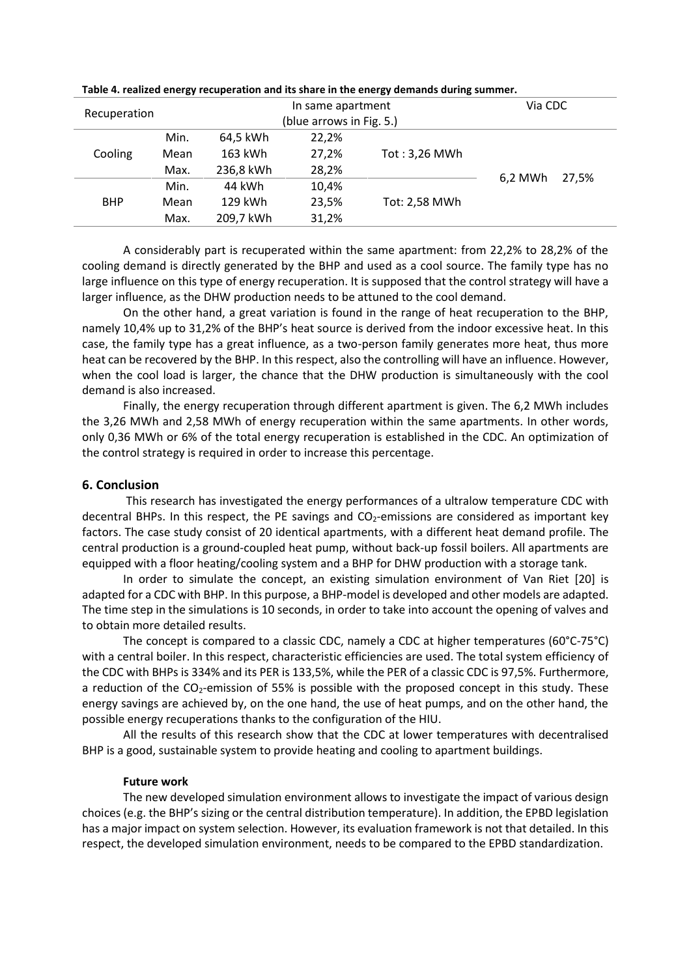|                         |           |                        |               | Via CDC                                       |         |
|-------------------------|-----------|------------------------|---------------|-----------------------------------------------|---------|
| Recuperation            |           |                        |               |                                               |         |
| Min.                    | 64,5 kWh  | 22,2%                  |               |                                               |         |
| Mean                    | 163 kWh   | 27,2%<br>Tot: 3,26 MWh |               |                                               |         |
| Max.                    | 236,8 kWh | 28,2%                  |               |                                               |         |
| 44 kWh<br>10,4%<br>Min. |           |                        | 27.5%         |                                               |         |
| Mean                    | 129 kWh   | 23,5%                  | Tot: 2,58 MWh |                                               |         |
| Max.                    | 209,7 kWh | 31,2%                  |               |                                               |         |
|                         |           |                        |               | In same apartment<br>(blue arrows in Fig. 5.) | 6.2 MWh |

<span id="page-10-0"></span>**Table 4. realized energy recuperation and its share in the energy demands during summer.**

A considerably part is recuperated within the same apartment: from 22,2% to 28,2% of the cooling demand is directly generated by the BHP and used as a cool source. The family type has no large influence on this type of energy recuperation. It is supposed that the control strategy will have a larger influence, as the DHW production needs to be attuned to the cool demand.

On the other hand, a great variation is found in the range of heat recuperation to the BHP, namely 10,4% up to 31,2% of the BHP's heat source is derived from the indoor excessive heat. In this case, the family type has a great influence, as a two-person family generates more heat, thus more heat can be recovered by the BHP. In this respect, also the controlling will have an influence. However, when the cool load is larger, the chance that the DHW production is simultaneously with the cool demand is also increased.

Finally, the energy recuperation through different apartment is given. The 6,2 MWh includes the 3,26 MWh and 2,58 MWh of energy recuperation within the same apartments. In other words, only 0,36 MWh or 6% of the total energy recuperation is established in the CDC. An optimization of the control strategy is required in order to increase this percentage.

### **6. Conclusion**

This research has investigated the energy performances of a ultralow temperature CDC with decentral BHPs. In this respect, the PE savings and  $CO<sub>2</sub>$ -emissions are considered as important key factors. The case study consist of 20 identical apartments, with a different heat demand profile. The central production is a ground-coupled heat pump, without back-up fossil boilers. All apartments are equipped with a floor heating/cooling system and a BHP for DHW production with a storage tank.

In order to simulate the concept, an existing simulation environment of Van Riet [20] is adapted for a CDC with BHP. In this purpose, a BHP-model is developed and other models are adapted. The time step in the simulations is 10 seconds, in order to take into account the opening of valves and to obtain more detailed results.

The concept is compared to a classic CDC, namely a CDC at higher temperatures (60°C-75°C) with a central boiler. In this respect, characteristic efficiencies are used. The total system efficiency of the CDC with BHPs is 334% and its PER is 133,5%, while the PER of a classic CDC is 97,5%. Furthermore, a reduction of the CO<sub>2</sub>-emission of 55% is possible with the proposed concept in this study. These energy savings are achieved by, on the one hand, the use of heat pumps, and on the other hand, the possible energy recuperations thanks to the configuration of the HIU.

All the results of this research show that the CDC at lower temperatures with decentralised BHP is a good, sustainable system to provide heating and cooling to apartment buildings.

#### **Future work**

The new developed simulation environment allows to investigate the impact of various design choices (e.g. the BHP's sizing or the central distribution temperature). In addition, the EPBD legislation has a major impact on system selection. However, its evaluation framework is not that detailed. In this respect, the developed simulation environment, needs to be compared to the EPBD standardization.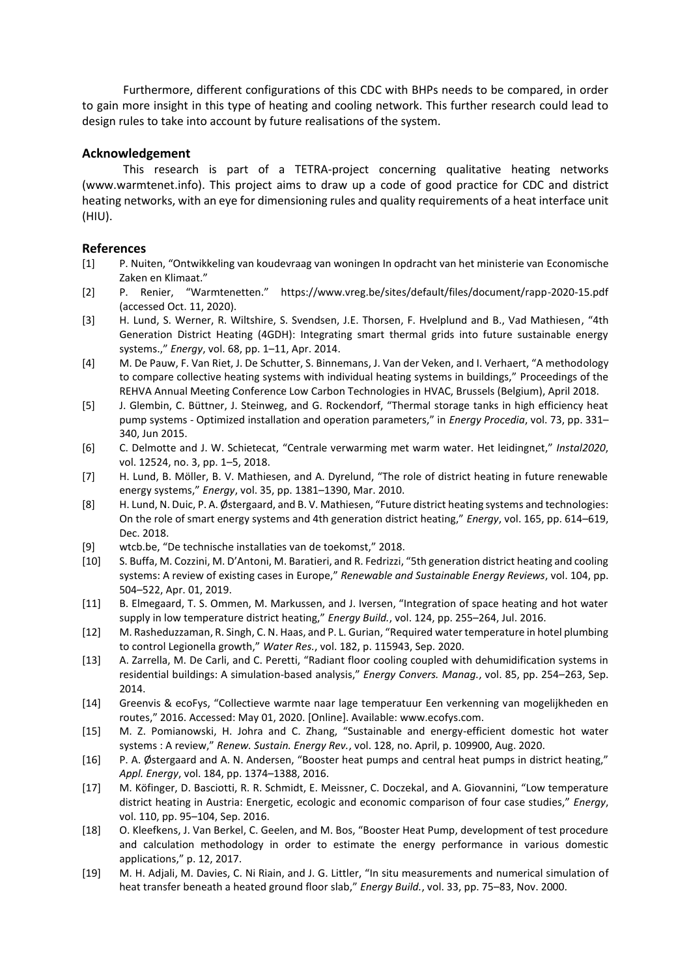Furthermore, different configurations of this CDC with BHPs needs to be compared, in order to gain more insight in this type of heating and cooling network. This further research could lead to design rules to take into account by future realisations of the system.

# **Acknowledgement**

This research is part of a TETRA-project concerning qualitative heating networks (www.warmtenet.info). This project aims to draw up a code of good practice for CDC and district heating networks, with an eye for dimensioning rules and quality requirements of a heat interface unit (HIU).

## **References**

- [1] P. Nuiten, "Ontwikkeling van koudevraag van woningen In opdracht van het ministerie van Economische Zaken en Klimaat."
- [2] P. Renier, "Warmtenetten." https://www.vreg.be/sites/default/files/document/rapp-2020-15.pdf (accessed Oct. 11, 2020).
- [3] H. Lund, S. Werner, R. Wiltshire, S. Svendsen, J.E. Thorsen, F. Hvelplund and B., Vad Mathiesen, "4th Generation District Heating (4GDH): Integrating smart thermal grids into future sustainable energy systems.," *Energy*, vol. 68, pp. 1–11, Apr. 2014.
- [4] M. De Pauw, F. Van Riet, J. De Schutter, S. Binnemans, J. Van der Veken, and I. Verhaert, "A methodology to compare collective heating systems with individual heating systems in buildings," Proceedings of the REHVA Annual Meeting Conference Low Carbon Technologies in HVAC, Brussels (Belgium), April 2018.
- [5] J. Glembin, C. Büttner, J. Steinweg, and G. Rockendorf, "Thermal storage tanks in high efficiency heat pump systems - Optimized installation and operation parameters," in *Energy Procedia*, vol. 73, pp. 331– 340, Jun 2015.
- [6] C. Delmotte and J. W. Schietecat, "Centrale verwarming met warm water. Het leidingnet," *Instal2020*, vol. 12524, no. 3, pp. 1–5, 2018.
- [7] H. Lund, B. Möller, B. V. Mathiesen, and A. Dyrelund, "The role of district heating in future renewable energy systems," *Energy*, vol. 35, pp. 1381–1390, Mar. 2010.
- [8] H. Lund, N. Duic, P. A. Østergaard, and B. V. Mathiesen, "Future district heating systems and technologies: On the role of smart energy systems and 4th generation district heating," *Energy*, vol. 165, pp. 614–619, Dec. 2018.
- [9] wtcb.be, "De technische installaties van de toekomst," 2018.
- [10] S. Buffa, M. Cozzini, M. D'Antoni, M. Baratieri, and R. Fedrizzi, "5th generation district heating and cooling systems: A review of existing cases in Europe," *Renewable and Sustainable Energy Reviews*, vol. 104, pp. 504–522, Apr. 01, 2019.
- [11] B. Elmegaard, T. S. Ommen, M. Markussen, and J. Iversen, "Integration of space heating and hot water supply in low temperature district heating," *Energy Build.*, vol. 124, pp. 255–264, Jul. 2016.
- [12] M. Rasheduzzaman, R. Singh, C. N. Haas, and P. L. Gurian, "Required water temperature in hotel plumbing to control Legionella growth," *Water Res.*, vol. 182, p. 115943, Sep. 2020.
- [13] A. Zarrella, M. De Carli, and C. Peretti, "Radiant floor cooling coupled with dehumidification systems in residential buildings: A simulation-based analysis," *Energy Convers. Manag.*, vol. 85, pp. 254–263, Sep. 2014.
- [14] Greenvis & ecoFys, "Collectieve warmte naar lage temperatuur Een verkenning van mogelijkheden en routes," 2016. Accessed: May 01, 2020. [Online]. Available: www.ecofys.com.
- [15] M. Z. Pomianowski, H. Johra and C. Zhang, "Sustainable and energy-efficient domestic hot water systems : A review," *Renew. Sustain. Energy Rev.*, vol. 128, no. April, p. 109900, Aug. 2020.
- [16] P. A. Østergaard and A. N. Andersen, "Booster heat pumps and central heat pumps in district heating," *Appl. Energy*, vol. 184, pp. 1374–1388, 2016.
- [17] M. Köfinger, D. Basciotti, R. R. Schmidt, E. Meissner, C. Doczekal, and A. Giovannini, "Low temperature district heating in Austria: Energetic, ecologic and economic comparison of four case studies," *Energy*, vol. 110, pp. 95–104, Sep. 2016.
- [18] O. Kleefkens, J. Van Berkel, C. Geelen, and M. Bos, "Booster Heat Pump, development of test procedure and calculation methodology in order to estimate the energy performance in various domestic applications," p. 12, 2017.
- [19] M. H. Adjali, M. Davies, C. Ni Riain, and J. G. Littler, "In situ measurements and numerical simulation of heat transfer beneath a heated ground floor slab," *Energy Build.*, vol. 33, pp. 75–83, Nov. 2000.